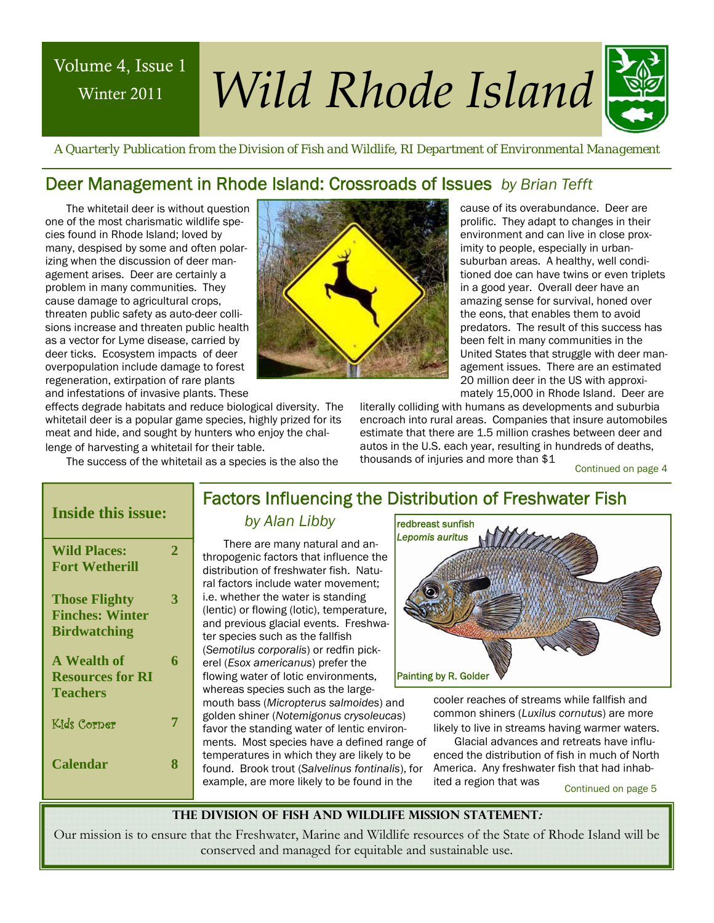## Winter 2011

# Volume 4, Issue 1 *Wild Rhode Island*



 *A Quarterly Publication from the Division of Fish and Wildlife, RI Department of Environmental Management* 

### Deer Management in Rhode Island: Crossroads of Issues *by Brian Tefft*

The whitetail deer is without question one of the most charismatic wildlife species found in Rhode Island; loved by many, despised by some and often polarizing when the discussion of deer management arises. Deer are certainly a problem in many communities. They cause damage to agricultural crops, threaten public safety as auto-deer collisions increase and threaten public health as a vector for Lyme disease, carried by deer ticks. Ecosystem impacts of deer overpopulation include damage to forest regeneration, extirpation of rare plants and infestations of invasive plants. These



cause of its overabundance. Deer are prolific. They adapt to changes in their environment and can live in close proximity to people, especially in urbansuburban areas. A healthy, well conditioned doe can have twins or even triplets in a good year. Overall deer have an amazing sense for survival, honed over the eons, that enables them to avoid predators. The result of this success has been felt in many communities in the United States that struggle with deer management issues. There are an estimated 20 million deer in the US with approximately 15,000 in Rhode Island. Deer are

effects degrade habitats and reduce biological diversity. The whitetail deer is a popular game species, highly prized for its meat and hide, and sought by hunters who enjoy the chal-

lenge of harvesting a whitetail for their table.

The success of the whitetail as a species is the also the

literally colliding with humans as developments and suburbia encroach into rural areas. Companies that insure automobiles estimate that there are 1.5 million crashes between deer and autos in the U.S. each year, resulting in hundreds of deaths, thousands of injuries and more than \$1

Continued on page 4

| <b>Inside this issue:</b> |             |
|---------------------------|-------------|
| <b>Wild Places:</b>       | $\mathbf 2$ |
| <b>Fort Wetherill</b>     |             |
| <b>Those Flighty</b>      | 3           |
| <b>Finches: Winter</b>    |             |
| <b>Birdwatching</b>       |             |
| <b>A</b> Wealth of        | 6           |
| <b>Resources for RI</b>   |             |
| Teachers                  |             |
| Kids Corner               | 7           |
| Calendar                  | 8           |

### Factors Influencing the Distribution of Freshwater Fish

### *by Alan Libby*

There are many natural and anthropogenic factors that influence the distribution of freshwater fish. Natural factors include water movement; i.e. whether the water is standing (lentic) or flowing (lotic), temperature, and previous glacial events. Freshwater species such as the fallfish (*Semotilus corporalis*) or redfin pickerel (*Esox americanus*) prefer the flowing water of lotic environments, whereas species such as the largemouth bass (*Micropterus salmoides*) and golden shiner (*Notemigonus crysoleucas*) favor the standing water of lentic environments. Most species have a defined range of temperatures in which they are likely to be found. Brook trout (*Salvelinus fontinalis*), for example, are more likely to be found in the



cooler reaches of streams while fallfish and common shiners (*Luxilus cornutus*) are more likely to live in streams having warmer waters.

Glacial advances and retreats have influenced the distribution of fish in much of North America. Any freshwater fish that had inhabited a region that was

Continued on page 5

**The Division of Fish and Wildlife Mission Statement:** 

Our mission is to ensure that the Freshwater, Marine and Wildlife resources of the State of Rhode Island will be conserved and managed for equitable and sustainable use.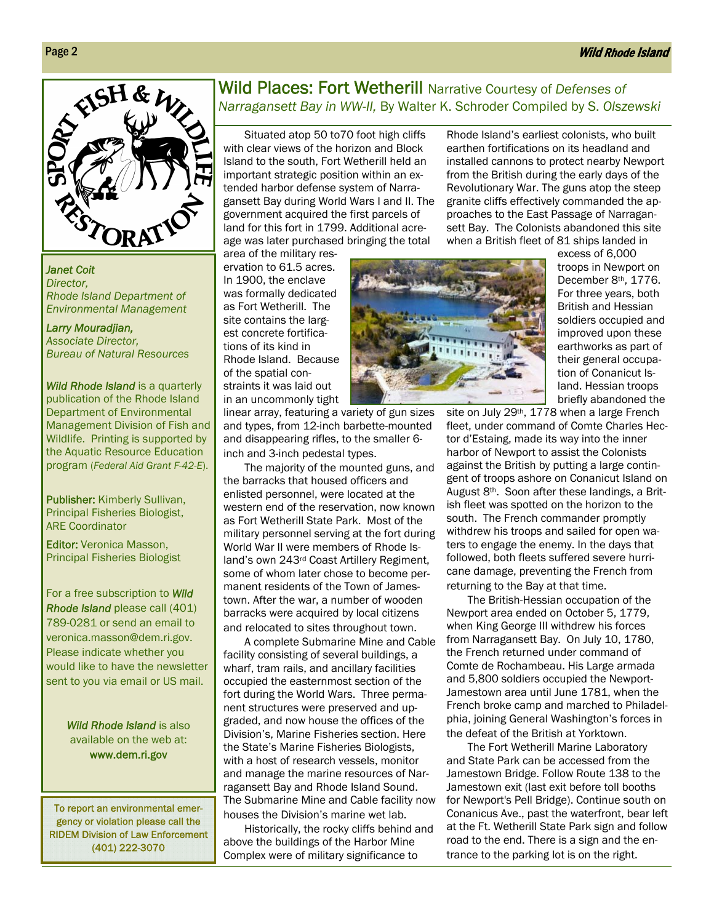### Wild Rhode Island



*Janet Coit Director, Rhode Island Department of Environmental Management* 

*Larry Mouradjian, Associate Director, Bureau of Natural Resources* 

*Wild Rhode Island* is a quarterly publication of the Rhode Island Department of Environmental Management Division of Fish and Wildlife. Printing is supported by the Aquatic Resource Education program (*Federal Aid Grant F-42-E*).

alter the landscape, and Publisher: Kimberly Sullivan, Principal Fisheries Biologist, ARE Coordinator

Editor: Veronica Masson, Principal Fisheries Biologist

For a free subscription to *Wild Rhode Island* please call (401) 789-0281 or send an email to veronica.masson@dem.ri.gov. Please indicate whether you would like to have the newsletter sent to you via email or US mail.

> *Wild Rhode Island* is also available on the web at: www.dem.ri.gov

To report an environmental emergency or violation please call the RIDEM Division of Law Enforcement (401) 222-3070

### Wild Places: Fort Wetherill Narrative Courtesy of *Defenses of Narragansett Bay in WW-II,* By Walter K. Schroder Compiled by S. *Olszewski*

Situated atop 50 to70 foot high cliffs with clear views of the horizon and Block Island to the south, Fort Wetherill held an important strategic position within an extended harbor defense system of Narragansett Bay during World Wars I and II. The government acquired the first parcels of land for this fort in 1799. Additional acreage was later purchased bringing the total

area of the military reservation to 61.5 acres. In 1900, the enclave was formally dedicated as Fort Wetherill. The site contains the largest concrete fortifica-

tions of its kind in Rhode Island. Because of the spatial constraints it was laid out in an uncommonly tight

linear array, featuring a variety of gun sizes and types, from 12-inch barbette-mounted and disappearing rifles, to the smaller 6 inch and 3-inch pedestal types.

The majority of the mounted guns, and the barracks that housed officers and enlisted personnel, were located at the western end of the reservation, now known as Fort Wetherill State Park. Most of the military personnel serving at the fort during World War II were members of Rhode Island's own 243rd Coast Artillery Regiment, some of whom later chose to become permanent residents of the Town of Jamestown. After the war, a number of wooden barracks were acquired by local citizens and relocated to sites throughout town.

A complete Submarine Mine and Cable facility consisting of several buildings, a wharf, tram rails, and ancillary facilities occupied the easternmost section of the fort during the World Wars. Three permanent structures were preserved and upgraded, and now house the offices of the Division's, Marine Fisheries section. Here the State's Marine Fisheries Biologists, with a host of research vessels, monitor and manage the marine resources of Narragansett Bay and Rhode Island Sound. The Submarine Mine and Cable facility now houses the Division's marine wet lab.

Historically, the rocky cliffs behind and above the buildings of the Harbor Mine Complex were of military significance to



granite cliffs effectively commanded the approaches to the East Passage of Narragansett Bay. The Colonists abandoned this site when a British fleet of 81 ships landed in excess of 6,000 troops in Newport on December 8th, 1776. For three years, both British and Hessian soldiers occupied and improved upon these earthworks as part of

> their general occupation of Conanicut Island. Hessian troops

Rhode Island's earliest colonists, who built earthen fortifications on its headland and installed cannons to protect nearby Newport from the British during the early days of the Revolutionary War. The guns atop the steep

briefly abandoned the site on July 29<sup>th</sup>, 1778 when a large French fleet, under command of Comte Charles Hector d'Estaing, made its way into the inner harbor of Newport to assist the Colonists against the British by putting a large contingent of troops ashore on Conanicut Island on August 8th. Soon after these landings, a British fleet was spotted on the horizon to the south. The French commander promptly withdrew his troops and sailed for open waters to engage the enemy. In the days that followed, both fleets suffered severe hurricane damage, preventing the French from returning to the Bay at that time.

The British-Hessian occupation of the Newport area ended on October 5, 1779, when King George III withdrew his forces from Narragansett Bay. On July 10, 1780, the French returned under command of Comte de Rochambeau. His Large armada and 5,800 soldiers occupied the Newport-Jamestown area until June 1781, when the French broke camp and marched to Philadelphia, joining General Washington's forces in the defeat of the British at Yorktown.

The Fort Wetherill Marine Laboratory and State Park can be accessed from the Jamestown Bridge. Follow Route 138 to the Jamestown exit (last exit before toll booths for Newport's Pell Bridge). Continue south on Conanicus Ave., past the waterfront, bear left at the Ft. Wetherill State Park sign and follow road to the end. There is a sign and the entrance to the parking lot is on the right.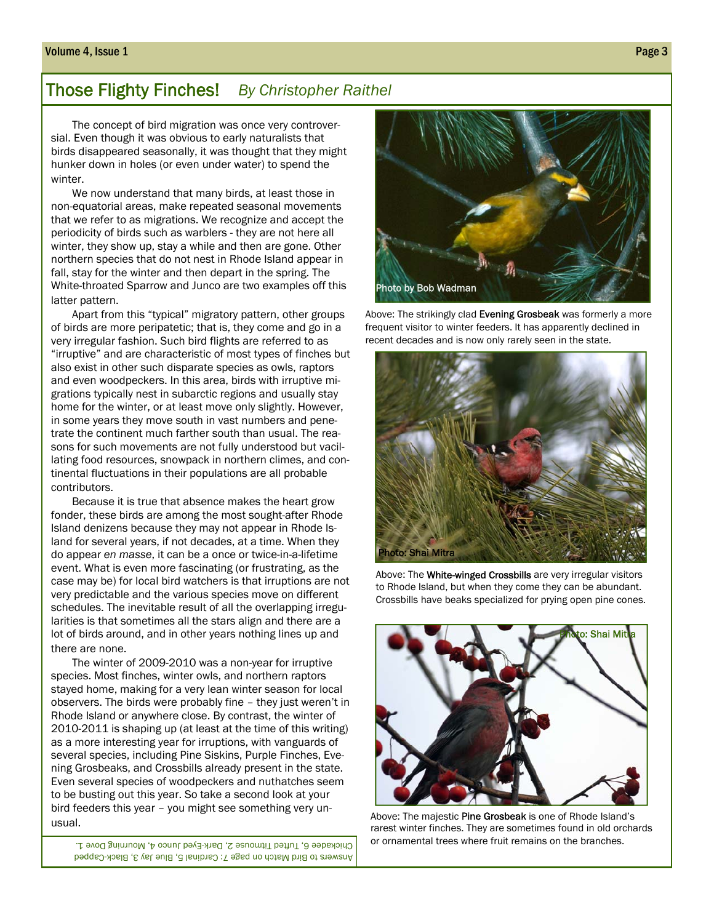### Those Flighty Finches! *By Christopher Raithel*

The concept of bird migration was once very controversial. Even though it was obvious to early naturalists that birds disappeared seasonally, it was thought that they might hunker down in holes (or even under water) to spend the winter.

We now understand that many birds, at least those in non-equatorial areas, make repeated seasonal movements that we refer to as migrations. We recognize and accept the periodicity of birds such as warblers - they are not here all winter, they show up, stay a while and then are gone. Other northern species that do not nest in Rhode Island appear in fall, stay for the winter and then depart in the spring. The White-throated Sparrow and Junco are two examples off this latter pattern.

Apart from this "typical" migratory pattern, other groups of birds are more peripatetic; that is, they come and go in a very irregular fashion. Such bird flights are referred to as "irruptive" and are characteristic of most types of finches but also exist in other such disparate species as owls, raptors and even woodpeckers. In this area, birds with irruptive migrations typically nest in subarctic regions and usually stay home for the winter, or at least move only slightly. However, in some years they move south in vast numbers and penetrate the continent much farther south than usual. The reasons for such movements are not fully understood but vacillating food resources, snowpack in northern climes, and continental fluctuations in their populations are all probable contributors.

Because it is true that absence makes the heart grow fonder, these birds are among the most sought-after Rhode Island denizens because they may not appear in Rhode Island for several years, if not decades, at a time. When they do appear *en masse*, it can be a once or twice-in-a-lifetime event. What is even more fascinating (or frustrating, as the case may be) for local bird watchers is that irruptions are not very predictable and the various species move on different schedules. The inevitable result of all the overlapping irregularities is that sometimes all the stars align and there are a lot of birds around, and in other years nothing lines up and there are none.

The winter of 2009-2010 was a non-year for irruptive species. Most finches, winter owls, and northern raptors stayed home, making for a very lean winter season for local observers. The birds were probably fine – they just weren't in Rhode Island or anywhere close. By contrast, the winter of 2010-2011 is shaping up (at least at the time of this writing) as a more interesting year for irruptions, with vanguards of several species, including Pine Siskins, Purple Finches, Evening Grosbeaks, and Crossbills already present in the state. Even several species of woodpeckers and nuthatches seem to be busting out this year. So take a second look at your bird feeders this year – you might see something very unusual.

Answers to Bird Match on page 7: Cardinal 5, Blue Jay 3, Black-Capped Chickadee 6, Tufted Titmouse 2, Dark-Eyed Junco 4, Mourning Dove 1.



Above: The strikingly clad Evening Grosbeak was formerly a more frequent visitor to winter feeders. It has apparently declined in recent decades and is now only rarely seen in the state.



Above: The White-winged Crossbills are very irregular visitors to Rhode Island, but when they come they can be abundant. Crossbills have beaks specialized for prying open pine cones.



Above: The majestic Pine Grosbeak is one of Rhode Island's rarest winter finches. They are sometimes found in old orchards or ornamental trees where fruit remains on the branches.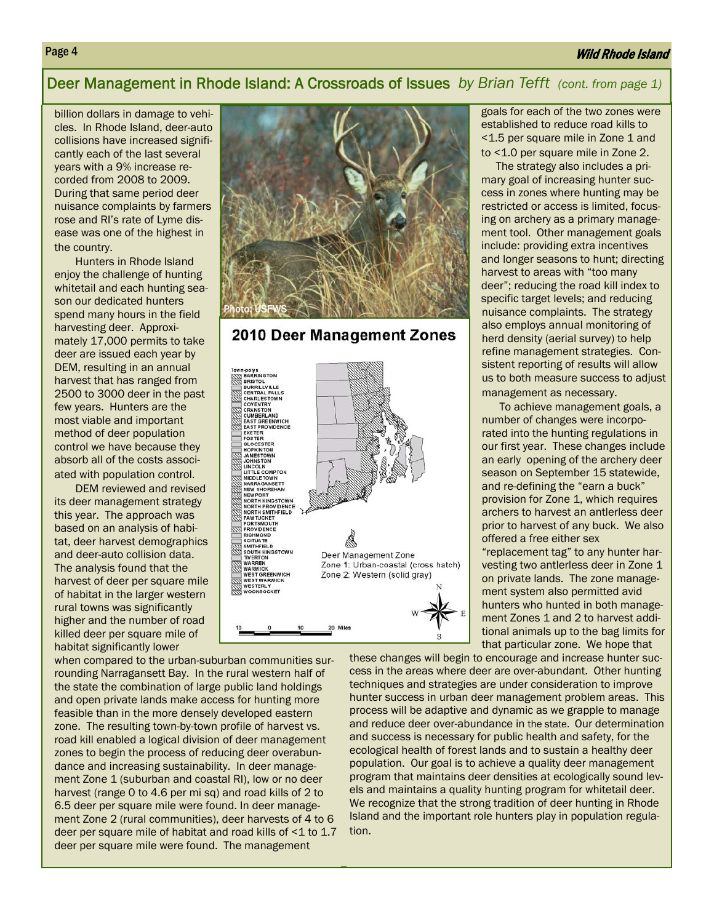### Wild Rhode Island

### Deer Management in Rhode Island: A Crossroads of Issues *by Brian Tefft (cont. from page 1)*

billion dollars in damage to vehicles. In Rhode Island, deer-auto collisions have increased significantly each of the last several years with a 9% increase recorded from 2008 to 2009. During that same period deer nuisance complaints by farmers rose and RI's rate of Lyme disease was one of the highest in the country.

Hunters in Rhode Island enjoy the challenge of hunting whitetail and each hunting season our dedicated hunters spend many hours in the field harvesting deer. Approximately 17,000 permits to take deer are issued each year by DEM, resulting in an annual harvest that has ranged from 2500 to 3000 deer in the past few years. Hunters are the most viable and important method of deer population control we have because they absorb all of the costs associated with population control.

DEM reviewed and revised its deer management strategy this year. The approach was based on an analysis of habitat, deer harvest demographics and deer-auto collision data. The analysis found that the harvest of deer per square mile of habitat in the larger western rural towns was significantly higher and the number of road killed deer per square mile of habitat significantly lower

when compared to the urban-suburban communities surrounding Narragansett Bay. In the rural western half of the state the combination of large public land holdings and open private lands make access for hunting more feasible than in the more densely developed eastern zone. The resulting town-by-town profile of harvest vs. road kill enabled a logical division of deer management zones to begin the process of reducing deer overabundance and increasing sustainability. In deer management Zone 1 (suburban and coastal RI), low or no deer harvest (range 0 to 4.6 per mi sq) and road kills of 2 to 6.5 deer per square mile were found. In deer management Zone 2 (rural communities), deer harvests of 4 to 6 deer per square mile of habitat and road kills of <1 to 1.7 deer per square mile were found. The management



### 2010 Deer Management Zones



goals for each of the two zones were established to reduce road kills to <1.5 per square mile in Zone 1 and to <1.0 per square mile in Zone 2.

 The strategy also includes a primary goal of increasing hunter success in zones where hunting may be restricted or access is limited, focusing on archery as a primary management tool. Other management goals include: providing extra incentives and longer seasons to hunt; directing harvest to areas with "too many deer"; reducing the road kill index to specific target levels; and reducing nuisance complaints. The strategy also employs annual monitoring of herd density (aerial survey) to help refine management strategies. Consistent reporting of results will allow us to both measure success to adjust management as necessary.

 To achieve management goals, a number of changes were incorporated into the hunting regulations in our first year. These changes include an early opening of the archery deer season on September 15 statewide, and re-defining the "earn a buck" provision for Zone 1, which requires archers to harvest an antlerless deer prior to harvest of any buck. We also offered a free either sex "replacement tag" to any hunter harvesting two antlerless deer in Zone 1 on private lands. The zone manage-

ment system also permitted avid hunters who hunted in both management Zones 1 and 2 to harvest additional animals up to the bag limits for that particular zone. We hope that

these changes will begin to encourage and increase hunter success in the areas where deer are over-abundant. Other hunting techniques and strategies are under consideration to improve hunter success in urban deer management problem areas. This process will be adaptive and dynamic as we grapple to manage and reduce deer over-abundance in the state. Our determination and success is necessary for public health and safety, for the ecological health of forest lands and to sustain a healthy deer population. Our goal is to achieve a quality deer management program that maintains deer densities at ecologically sound levels and maintains a quality hunting program for whitetail deer. We recognize that the strong tradition of deer hunting in Rhode Island and the important role hunters play in population regulation.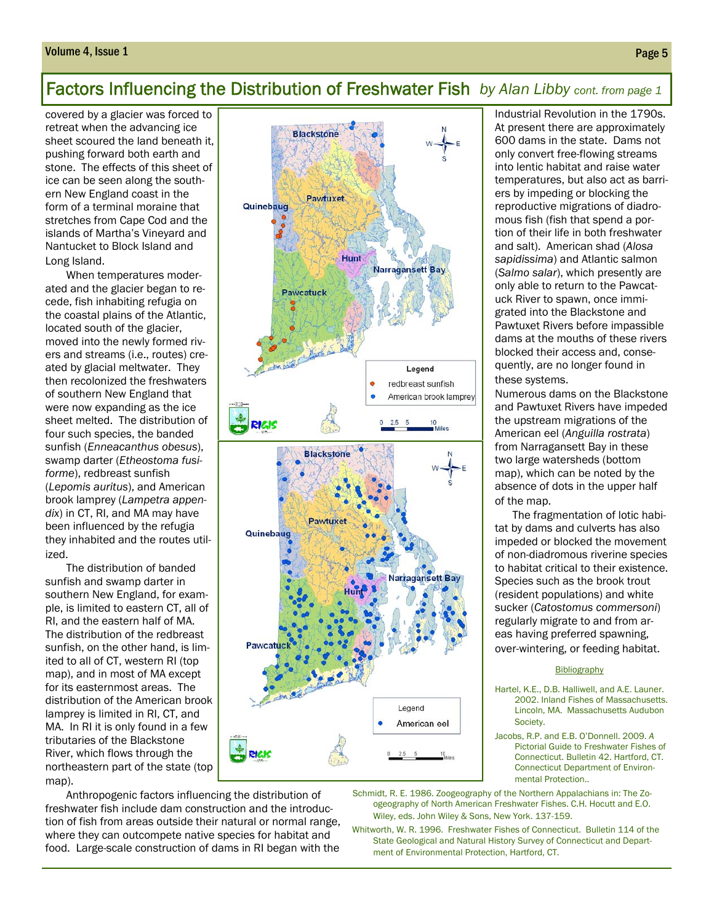### Volume 4, Issue 1 Page 5

### Factors Influencing the Distribution of Freshwater Fish *by Alan Libby cont. from page 1*

covered by a glacier was forced to retreat when the advancing ice sheet scoured the land beneath it, pushing forward both earth and stone. The effects of this sheet of ice can be seen along the southern New England coast in the form of a terminal moraine that stretches from Cape Cod and the islands of Martha's Vineyard and Nantucket to Block Island and Long Island.

When temperatures moderated and the glacier began to recede, fish inhabiting refugia on the coastal plains of the Atlantic, located south of the glacier, moved into the newly formed rivers and streams (i.e., routes) created by glacial meltwater. They then recolonized the freshwaters of southern New England that were now expanding as the ice sheet melted. The distribution of four such species, the banded sunfish (*Enneacanthus obesus*), swamp darter (*Etheostoma fusiforme*), redbreast sunfish (*Lepomis auritus*), and American brook lamprey (*Lampetra appendix*) in CT, RI, and MA may have been influenced by the refugia they inhabited and the routes utilized.

The distribution of banded sunfish and swamp darter in southern New England, for example, is limited to eastern CT, all of RI, and the eastern half of MA. The distribution of the redbreast sunfish, on the other hand, is limited to all of CT, western RI (top map), and in most of MA except for its easternmost areas. The distribution of the American brook lamprey is limited in RI, CT, and MA. In RI it is only found in a few tributaries of the Blackstone River, which flows through the northeastern part of the state (top map).



Anthropogenic factors influencing the distribution of freshwater fish include dam construction and the introduction of fish from areas outside their natural or normal range, where they can outcompete native species for habitat and food. Large-scale construction of dams in RI began with the

Industrial Revolution in the 1790s. At present there are approximately 600 dams in the state. Dams not only convert free-flowing streams into lentic habitat and raise water temperatures, but also act as barriers by impeding or blocking the reproductive migrations of diadromous fish (fish that spend a portion of their life in both freshwater and salt). American shad (*Alosa sapidissima*) and Atlantic salmon (*Salmo salar*), which presently are only able to return to the Pawcatuck River to spawn, once immigrated into the Blackstone and Pawtuxet Rivers before impassible dams at the mouths of these rivers blocked their access and, consequently, are no longer found in these systems.

Numerous dams on the Blackstone and Pawtuxet Rivers have impeded the upstream migrations of the American eel (*Anguilla rostrata*) from Narragansett Bay in these two large watersheds (bottom map), which can be noted by the absence of dots in the upper half of the map.

 The fragmentation of lotic habitat by dams and culverts has also impeded or blocked the movement of non-diadromous riverine species to habitat critical to their existence. Species such as the brook trout (resident populations) and white sucker (*Catostomus commersoni*) regularly migrate to and from areas having preferred spawning, over-wintering, or feeding habitat.

### **Bibliography**

Hartel, K.E., D.B. Halliwell, and A.E. Launer. 2002. Inland Fishes of Massachusetts. Lincoln, MA. Massachusetts Audubon Society.

Jacobs, R.P. and E.B. O'Donnell. 2009. *A*  Pictorial Guide to Freshwater Fishes of Connecticut. Bulletin 42. Hartford, CT. Connecticut Department of Environmental Protection..

Schmidt, R. E. 1986. Zoogeography of the Northern Appalachians in: The Zoogeography of North American Freshwater Fishes. C.H. Hocutt and E.O. Wiley, eds. John Wiley & Sons, New York. 137-159.

Whitworth, W. R. 1996. Freshwater Fishes of Connecticut. Bulletin 114 of the State Geological and Natural History Survey of Connecticut and Department of Environmental Protection, Hartford, CT.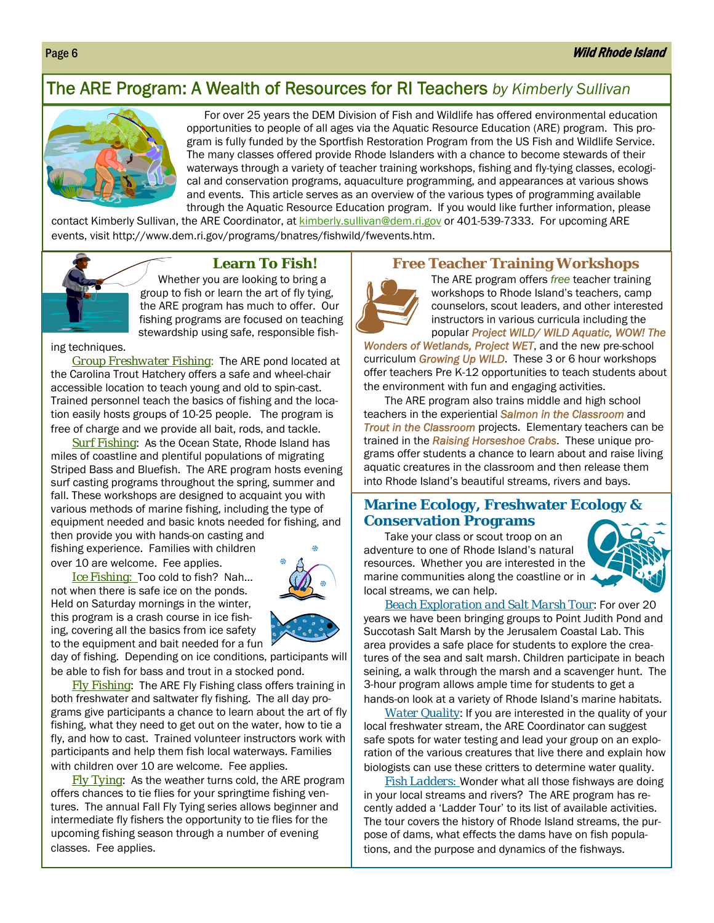### The ARE Program: A Wealth of Resources for RI Teachers *by Kimberly Sullivan*



 For over 25 years the DEM Division of Fish and Wildlife has offered environmental education opportunities to people of all ages via the Aquatic Resource Education (ARE) program. This program is fully funded by the Sportfish Restoration Program from the US Fish and Wildlife Service. The many classes offered provide Rhode Islanders with a chance to become stewards of their waterways through a variety of teacher training workshops, fishing and fly-tying classes, ecological and conservation programs, aquaculture programming, and appearances at various shows and events. This article serves as an overview of the various types of programming available through the Aquatic Resource Education program. If you would like further information, please

contact Kimberly Sullivan, the ARE Coordinator, at kimberly.sullivan@dem.ri.gov or 401-539-7333. For upcoming ARE events, visit http://www.dem.ri.gov/programs/bnatres/fishwild/fwevents.htm.



### **Learn To Fish!**

Whether you are looking to bring a group to fish or learn the art of fly tying, the ARE program has much to offer. Our fishing programs are focused on teaching stewardship using safe, responsible fish-

ing techniques.

*Group Freshwater Fishing*: The ARE pond located at the Carolina Trout Hatchery offers a safe and wheel-chair accessible location to teach young and old to spin-cast. Trained personnel teach the basics of fishing and the location easily hosts groups of 10-25 people. The program is free of charge and we provide all bait, rods, and tackle.

*Surf Fishing*: As the Ocean State, Rhode Island has miles of coastline and plentiful populations of migrating Striped Bass and Bluefish. The ARE program hosts evening surf casting programs throughout the spring, summer and fall. These workshops are designed to acquaint you with various methods of marine fishing, including the type of equipment needed and basic knots needed for fishing, and then provide you with hands-on casting and

fishing experience. Families with children over 10 are welcome. Fee applies.

*Ice Fishing*: Too cold to fish? Nah… not when there is safe ice on the ponds. Held on Saturday mornings in the winter, this program is a crash course in ice fishing, covering all the basics from ice safety to the equipment and bait needed for a fun

day of fishing. Depending on ice conditions, participants will be able to fish for bass and trout in a stocked pond.

*Fly Fishing*: The ARE Fly Fishing class offers training in both freshwater and saltwater fly fishing. The all day programs give participants a chance to learn about the art of fly fishing, what they need to get out on the water, how to tie a fly, and how to cast. Trained volunteer instructors work with participants and help them fish local waterways. Families with children over 10 are welcome. Fee applies.

*Fly Tying*: As the weather turns cold, the ARE program offers chances to tie flies for your springtime fishing ventures. The annual Fall Fly Tying series allows beginner and intermediate fly fishers the opportunity to tie flies for the upcoming fishing season through a number of evening classes. Fee applies.

### **Free Teacher Training Workshops**

The ARE program offers *free* teacher training workshops to Rhode Island's teachers, camp counselors, scout leaders, and other interested instructors in various curricula including the popular *Project WILD/ WILD Aquatic, WOW! The* 

*Wonders of Wetlands, Project WET*, and the new pre-school curriculum *Growing Up WILD*. These 3 or 6 hour workshops offer teachers Pre K-12 opportunities to teach students about the environment with fun and engaging activities.

The ARE program also trains middle and high school teachers in the experiential *Salmon in the Classroom* and *Trout in the Classroom* projects. Elementary teachers can be trained in the *Raising Horseshoe Crabs*. These unique programs offer students a chance to learn about and raise living aquatic creatures in the classroom and then release them into Rhode Island's beautiful streams, rivers and bays.

### **Marine Ecology, Freshwater Ecology & Conservation Programs**

Take your class or scout troop on an adventure to one of Rhode Island's natural resources. Whether you are interested in the marine communities along the coastline or in local streams, we can help.



*Beach Exploration and Salt Marsh Tour*: For over 20 years we have been bringing groups to Point Judith Pond and Succotash Salt Marsh by the Jerusalem Coastal Lab. This area provides a safe place for students to explore the creatures of the sea and salt marsh. Children participate in beach seining, a walk through the marsh and a scavenger hunt. The 3-hour program allows ample time for students to get a hands-on look at a variety of Rhode Island's marine habitats.

*Water Quality*: If you are interested in the quality of your local freshwater stream, the ARE Coordinator can suggest safe spots for water testing and lead your group on an exploration of the various creatures that live there and explain how biologists can use these critters to determine water quality.

*Fish Ladders:* Wonder what all those fishways are doing in your local streams and rivers? The ARE program has recently added a 'Ladder Tour' to its list of available activities. The tour covers the history of Rhode Island streams, the purpose of dams, what effects the dams have on fish populations, and the purpose and dynamics of the fishways.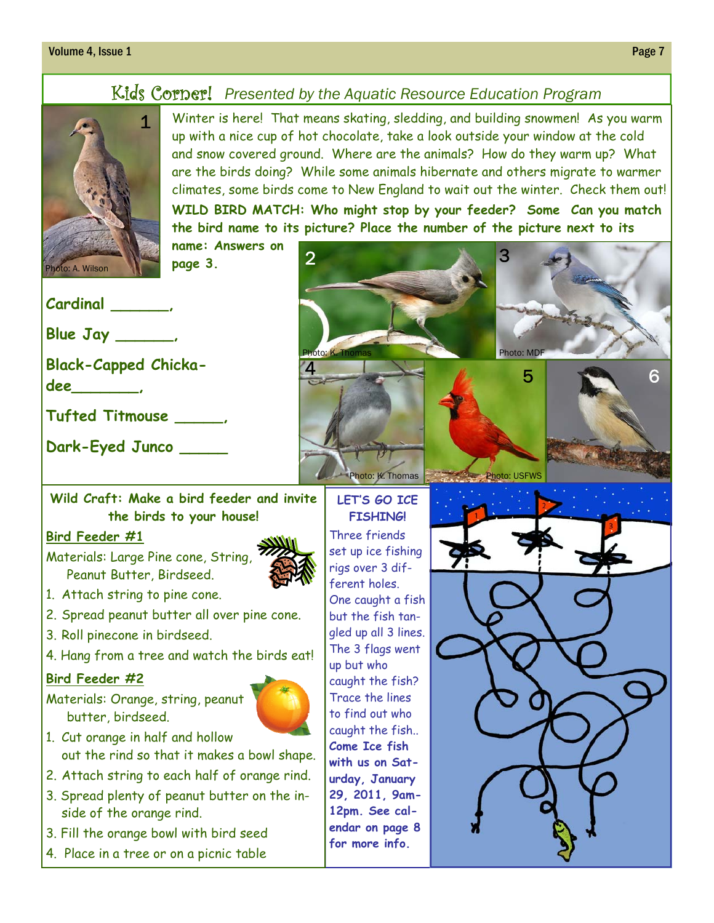### **Volume 4, Issue 1** Page 7 **Page 7**

### Kids Corner! *Presented by the Aquatic Resource Education Program*

2

4



Winter is here! That means skating, sledding, and building snowmen! As you warm up with a nice cup of hot chocolate, take a look outside your window at the cold and snow covered ground. Where are the animals? How do they warm up? What are the birds doing? While some animals hibernate and others migrate to warmer climates, some birds come to New England to wait out the winter. Check them out! **WILD BIRD MATCH: Who might stop by your feeder? Some Can you match the bird name to its picture? Place the number of the picture next to its name: Answers on**  3

**page 3.** 

**Cardinal \_\_\_\_\_\_,** 

**Blue Jay \_\_\_\_\_\_,** 

**Black-Capped Chicka-**

**dee\_\_\_\_\_\_\_,** 

**Tufted Titmouse \_\_\_\_\_,** 

**Dark-Eyed Junco \_\_\_\_\_** 

### **Wild Craft: Make a bird feeder and invite the birds to your house!**

### **Bird Feeder #1**

Materials: Large Pine cone, String, Peanut Butter, Birdseed.

- 1. Attach string to pine cone.
- 2. Spread peanut butter all over pine cone.
- 3. Roll pinecone in birdseed.
- 4. Hang from a tree and watch the birds eat!

### **Bird Feeder #2**

Materials: Orange, string, peanut butter, birdseed.



- 1. Cut orange in half and hollow out the rind so that it makes a bowl shape.
- 2. Attach string to each half of orange rind.
- 3. Spread plenty of peanut butter on the inside of the orange rind.
- 3. Fill the orange bowl with bird seed
- 4. Place in a tree or on a picnic table



Photo: K. Thomas Photo: USFWS



### **LET'S GO ICE FISHING!**

Three friends set up ice fishing rigs over 3 different holes. One caught a fish but the fish tangled up all 3 lines. The 3 flags went up but who caught the fish? Trace the lines to find out who caught the fish.. **Come Ice fish with us on Saturday, January 29, 2011, 9am-12pm. See calendar on page 8 for more info.**